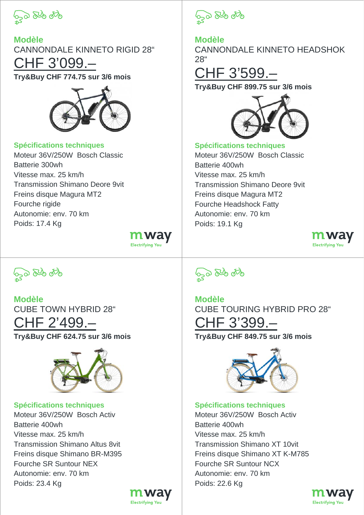

**Modèle** CANNONDALE KINNETO RIGID 28" CHF 3'099.– **Try&Buy CHF 774.75 sur 3/6 mois**



## **Spécifications techniques**

Moteur 36V/250W Bosch Classic Batterie 300wh Vitesse max. 25 km/h Transmission Shimano Deore 9vit Freins disque Magura MT2 Fourche rigide Autonomie: env. 70 km Poids: 17.4 Kg





**Modèle** CANNONDALE KINNETO HEADSHOK 28"

## CHF 3'599.–

**Try&Buy CHF 899.75 sur 3/6 mois**



**Spécifications techniques** Moteur 36V/250W Bosch Classic Batterie 400wh Vitesse max. 25 km/h Transmission Shimano Deore 9vit Freins disque Magura MT2 Fourche Headshock Fatty Autonomie: env. 70 km Poids: 19.1 Kg



**GO 84 06** 

**Modèle** CUBE TOWN HYBRID 28" CHF 2'499.– **Try&Buy CHF 624.75 sur 3/6 mois**



**Spécifications techniques** Moteur 36V/250W Bosch Activ Batterie 400wh Vitesse max. 25 km/h Transmission Shimano Altus 8vit Freins disque Shimano BR-M395 Fourche SR Suntour NEX Autonomie: env. 70 km Poids: 23.4 Kg



m way

**Electrifying You** 

**SO 84 070** 

**Modèle** CUBE TOURING HYBRID PRO 28" CHF 3'399.– **Try&Buy CHF 849.75 sur 3/6 mois**



**Spécifications techniques**

Moteur 36V/250W Bosch Activ Batterie 400wh Vitesse max. 25 km/h Transmission Shimano XT 10vit Freins disque Shimano XT K-M785 Fourche SR Suntour NCX Autonomie: env. 70 km Poids: 22.6 Kg

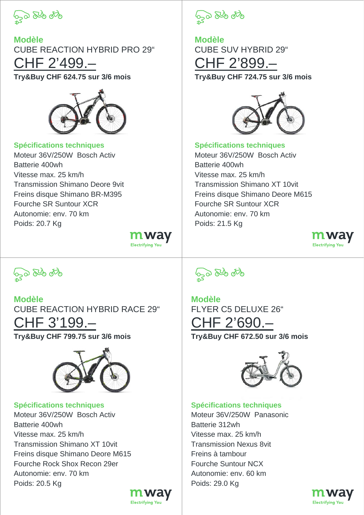

**Modèle** CUBE REACTION HYBRID PRO 29" CHF 2'499.– **Try&Buy CHF 624.75 sur 3/6 mois**



**Spécifications techniques** Moteur 36V/250W Bosch Activ Batterie 400wh Vitesse max. 25 km/h Transmission Shimano Deore 9vit Freins disque Shimano BR-M395 Fourche SR Suntour XCR Autonomie: env. 70 km Poids: 20.7 Kg

<u>mway</u> Electrifying You

**GO 84 06** 

**Modèle** CUBE SUV HYBRID 29" CHF 2'899.– **Try&Buy CHF 724.75 sur 3/6 mois**



**Spécifications techniques** Moteur 36V/250W Bosch Activ Batterie 400wh Vitesse max. 25 km/h Transmission Shimano XT 10vit Freins disque Shimano Deore M615 Fourche SR Suntour XCR Autonomie: env. 70 km Poids: 21.5 Kg



**GO 84 06** 

**Modèle** CUBE REACTION HYBRID RACE 29" CHF 3'199.– **Try&Buy CHF 799.75 sur 3/6 mois**



**Spécifications techniques** Moteur 36V/250W Bosch Activ Batterie 400wh Vitesse max. 25 km/h Transmission Shimano XT 10vit Freins disque Shimano Deore M615 Fourche Rock Shox Recon 29er Autonomie: env. 70 km Poids: 20.5 Kg





**Modèle** FLYER C5 DELUXE 26" CHF 2'690.– **Try&Buy CHF 672.50 sur 3/6 mois**



**Spécifications techniques**

Moteur 36V/250W Panasonic Batterie 312wh Vitesse max. 25 km/h Transmission Nexus 8vit Freins à tambour Fourche Suntour NCX Autonomie: env. 60 km Poids: 29.0 Kg

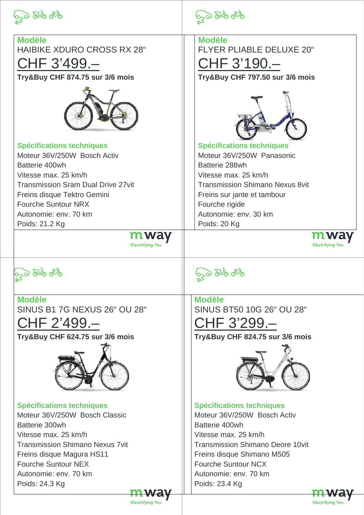

Batterie 400wh

Poids: 21.2 Kg

**50 84 86** 

**Modèle**

**Modèle** HAIBIKE XDURO CROSS RX 28" FLYER PLIABLE DELUXE 20" CHF 3'499.– CHF 3'190.– **Try&Buy CHF 874.75 sur 3/6 mois Try&Buy CHF 797.50 sur 3/6 mois Spécifications techniques Spécifications techniques** Moteur 36V/250W Panasonic Moteur 36V/250W Bosch Activ Batterie 288wh Vitesse max. 25 km/h Vitesse max. 25 km/h Transmission Sram Dual Drive 27vit Transmission Shimano Nexus 8vit Freins disque Tektro Gemini Freins sur jante et tambour Fourche Suntour NRX Fourche rigide Autonomie: env. 70 km Autonomie: env. 30 km Poids: 20 Kg m way **Electrifying You** Electrifying

600 840 870

**Modèle** SINUS B1 7G NEXUS 26" OU 28"

CHF 2'499.–

**Try&Buy CHF 624.75 sur 3/6 mois**



**Spécifications techniques** Moteur 36V/250W Bosch Classic Batterie 300wh Vitesse max. 25 km/h Transmission Shimano Nexus 7vit Freins disque Magura HS11 Fourche Suntour NEX Autonomie: env. 70 km Poids: 24.3 Kg

620 840 870

**Modèle** SINUS BT50 10G 26" OU 28"

CHF 3'299.–

**Try&Buy CHF 824.75 sur 3/6 mois**



**Spécifications techniques**

Moteur 36V/250W Bosch Activ Batterie 400wh Vitesse max. 25 km/h Transmission Shimano Deore 10vit Freins disque Shimano M505 Fourche Suntour NCX Autonomie: env. 70 km Poids: 23.4 Kg



**Electrifying You**